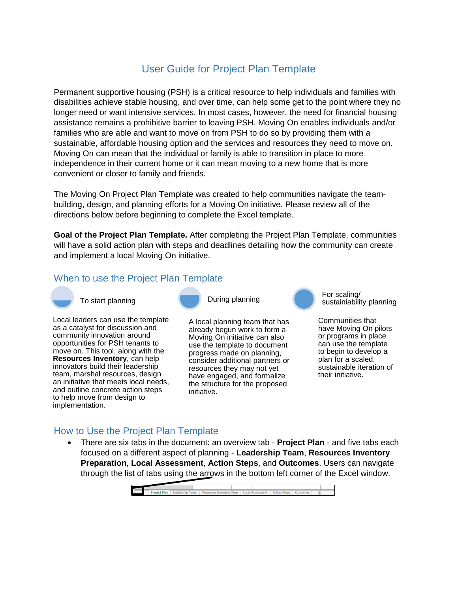# User Guide for Project Plan Template

Permanent supportive housing (PSH) is a critical resource to help individuals and families with disabilities achieve stable housing, and over time, can help some get to the point where they no longer need or want intensive services. In most cases, however, the need for financial housing assistance remains a prohibitive barrier to leaving PSH. Moving On enables individuals and/or families who are able and want to move on from PSH to do so by providing them with a sustainable, affordable housing option and the services and resources they need to move on. Moving On can mean that the individual or family is able to transition in place to more independence in their current home or it can mean moving to a new home that is more convenient or closer to family and friends.

The Moving On Project Plan Template was created to help communities navigate the teambuilding, design, and planning efforts for a Moving On initiative. Please review all of the directions below before beginning to complete the Excel template.

**Goal of the Project Plan Template.** After completing the Project Plan Template, communities will have a solid action plan with steps and deadlines detailing how the community can create and implement a local Moving On initiative.

#### When to use the Project Plan Template



implementation.

To start planning

Local leaders can use the template as a catalyst for discussion and community innovation around opportunities for PSH tenants to move on. This tool, along with the **Resources Inventory**, can help innovators build their leadership team, marshal resources, design an initiative that meets local needs, and outline concrete action steps to help move from design to



During planning

A local planning team that has already begun work to form a Moving On initiative can also use the template to document progress made on planning, consider additional partners or resources they may not yet have engaged, and formalize the structure for the proposed initiative.



For scaling/ sustainiability planning

Communities that have Moving On pilots or programs in place can use the template to begin to develop a plan for a scaled, sustainable iteration of their initiative.

#### How to Use the Project Plan Template

• There are six tabs in the document: an overview tab - **Project Plan** - and five tabs each focused on a different aspect of planning - **Leadership Team**, **Resources Inventory Preparation**, **Local Assessment**, **Action Steps**, and **Outcomes**. Users can navigate through the list of tabs using the arrows in the bottom left corner of the Excel window.

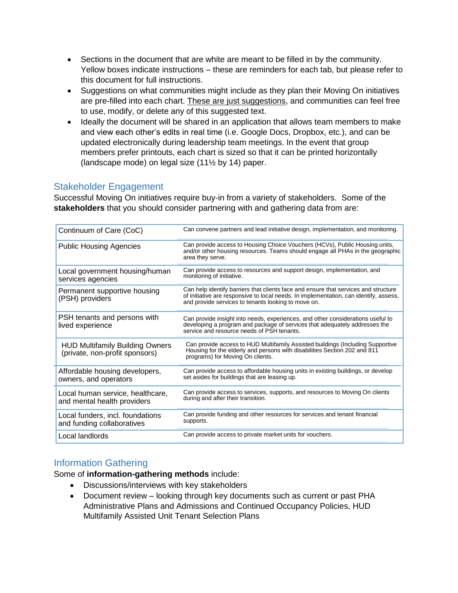- Sections in the document that are white are meant to be filled in by the community. Yellow boxes indicate instructions – these are reminders for each tab, but please refer to this document for full instructions.
- Suggestions on what communities might include as they plan their Moving On initiatives are pre-filled into each chart. These are just suggestions, and communities can feel free to use, modify, or delete any of this suggested text.
- Ideally the document will be shared in an application that allows team members to make and view each other's edits in real time (i.e. Google Docs, Dropbox, etc.), and can be updated electronically during leadership team meetings. In the event that group members prefer printouts, each chart is sized so that it can be printed horizontally (landscape mode) on legal size (11½ by 14) paper.

## Stakeholder Engagement

Successful Moving On initiatives require buy-in from a variety of stakeholders. Some of the **stakeholders** that you should consider partnering with and gathering data from are:

| Continuum of Care (CoC)                                                  | Can convene partners and lead initiative design, implementation, and monitoring.                                                                                                                                                    |
|--------------------------------------------------------------------------|-------------------------------------------------------------------------------------------------------------------------------------------------------------------------------------------------------------------------------------|
| <b>Public Housing Agencies</b>                                           | Can provide access to Housing Choice Vouchers (HCVs), Public Housing units,<br>and/or other housing resources. Teams should engage all PHAs in the geographic<br>area they serve.                                                   |
| Local government housing/human<br>services agencies                      | Can provide access to resources and support design, implementation, and<br>monitoring of initiative.                                                                                                                                |
| Permanent supportive housing<br>(PSH) providers                          | Can help identify barriers that clients face and ensure that services and structure<br>of initiative are responsive to local needs. In implementation, can identify, assess,<br>and provide services to tenants looking to move on. |
| PSH tenants and persons with<br>lived experience                         | Can provide insight into needs, experiences, and other considerations useful to<br>developing a program and package of services that adequately addresses the<br>service and resource needs of PSH tenants.                         |
| <b>HUD Multifamily Building Owners</b><br>(private, non-profit sponsors) | Can provide access to HUD Multifamily Assisted buildings (Including Supportive<br>Housing for the elderly and persons with disabilities Section 202 and 811<br>programs) for Moving On clients.                                     |
| Affordable housing developers,<br>owners, and operators                  | Can provide access to affordable housing units in existing buildings, or develop<br>set asides for buildings that are leasing up.                                                                                                   |
| Local human service, healthcare,<br>and mental health providers          | Can provide access to services, supports, and resources to Moving On clients<br>during and after their transition.                                                                                                                  |
| Local funders, incl. foundations<br>and funding collaboratives           | Can provide funding and other resources for services and tenant financial<br>supports.                                                                                                                                              |
| Local landlords                                                          | Can provide access to private market units for vouchers.                                                                                                                                                                            |

## Information Gathering

Some of **information-gathering methods** include:

- Discussions/interviews with key stakeholders
- Document review looking through key documents such as current or past PHA Administrative Plans and Admissions and Continued Occupancy Policies, HUD Multifamily Assisted Unit Tenant Selection Plans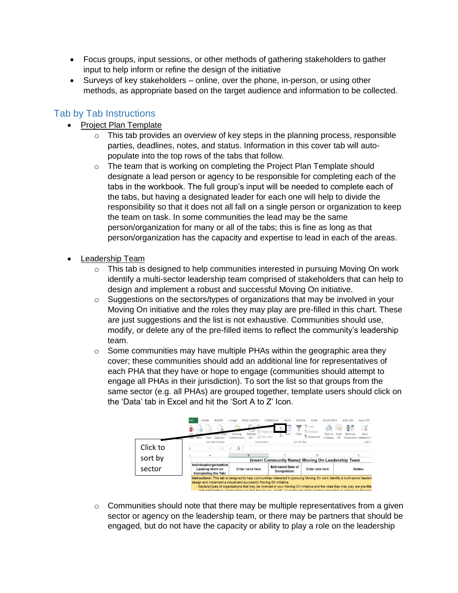- Focus groups, input sessions, or other methods of gathering stakeholders to gather input to help inform or refine the design of the initiative
- Surveys of key stakeholders online, over the phone, in-person, or using other methods, as appropriate based on the target audience and information to be collected.

## Tab by Tab Instructions

- Project Plan Template
	- o This tab provides an overview of key steps in the planning process, responsible parties, deadlines, notes, and status. Information in this cover tab will autopopulate into the top rows of the tabs that follow.
	- $\circ$  The team that is working on completing the Project Plan Template should designate a lead person or agency to be responsible for completing each of the tabs in the workbook. The full group's input will be needed to complete each of the tabs, but having a designated leader for each one will help to divide the responsibility so that it does not all fall on a single person or organization to keep the team on task. In some communities the lead may be the same person/organization for many or all of the tabs; this is fine as long as that person/organization has the capacity and expertise to lead in each of the areas.
- Leadership Team
	- $\circ$  This tab is designed to help communities interested in pursuing Moving On work identify a multi-sector leadership team comprised of stakeholders that can help to design and implement a robust and successful Moving On initiative.
	- $\circ$  Suggestions on the sectors/types of organizations that may be involved in your Moving On initiative and the roles they may play are pre-filled in this chart. These are just suggestions and the list is not exhaustive. Communities should use, modify, or delete any of the pre-filled items to reflect the community's leadership team.
	- $\circ$  Some communities may have multiple PHAs within the geographic area they cover; these communities should add an additional line for representatives of each PHA that they have or hope to engage (communities should attempt to engage all PHAs in their jurisdiction). To sort the list so that groups from the same sector (e.g. all PHAs) are grouped together, template users should click on the 'Data' tab in Excel and hit the 'Sort A to Z' Icon.



 $\circ$  Communities should note that there may be multiple representatives from a given sector or agency on the leadership team, or there may be partners that should be engaged, but do not have the capacity or ability to play a role on the leadership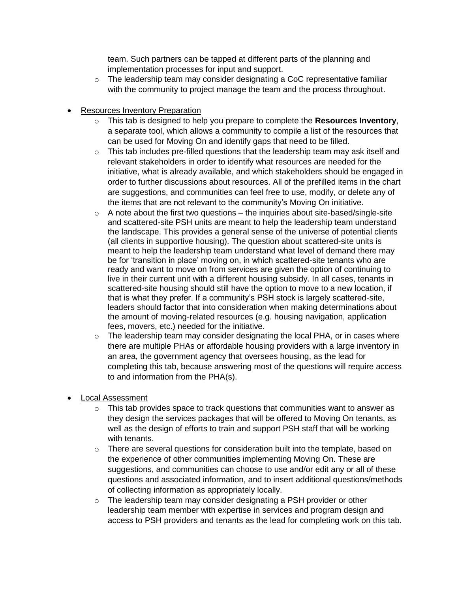team. Such partners can be tapped at different parts of the planning and implementation processes for input and support.

- $\circ$  The leadership team may consider designating a CoC representative familiar with the community to project manage the team and the process throughout.
- Resources Inventory Preparation
	- o This tab is designed to help you prepare to complete the **Resources Inventory**, a separate tool, which allows a community to compile a list of the resources that can be used for Moving On and identify gaps that need to be filled.
	- $\circ$  This tab includes pre-filled questions that the leadership team may ask itself and relevant stakeholders in order to identify what resources are needed for the initiative, what is already available, and which stakeholders should be engaged in order to further discussions about resources. All of the prefilled items in the chart are suggestions, and communities can feel free to use, modify, or delete any of the items that are not relevant to the community's Moving On initiative.
	- $\circ$  A note about the first two questions the inquiries about site-based/single-site and scattered-site PSH units are meant to help the leadership team understand the landscape. This provides a general sense of the universe of potential clients (all clients in supportive housing). The question about scattered-site units is meant to help the leadership team understand what level of demand there may be for 'transition in place' moving on, in which scattered-site tenants who are ready and want to move on from services are given the option of continuing to live in their current unit with a different housing subsidy. In all cases, tenants in scattered-site housing should still have the option to move to a new location, if that is what they prefer. If a community's PSH stock is largely scattered-site, leaders should factor that into consideration when making determinations about the amount of moving-related resources (e.g. housing navigation, application fees, movers, etc.) needed for the initiative.
	- $\circ$  The leadership team may consider designating the local PHA, or in cases where there are multiple PHAs or affordable housing providers with a large inventory in an area, the government agency that oversees housing, as the lead for completing this tab, because answering most of the questions will require access to and information from the PHA(s).
- Local Assessment
	- $\circ$  This tab provides space to track questions that communities want to answer as they design the services packages that will be offered to Moving On tenants, as well as the design of efforts to train and support PSH staff that will be working with tenants.
	- o There are several questions for consideration built into the template, based on the experience of other communities implementing Moving On. These are suggestions, and communities can choose to use and/or edit any or all of these questions and associated information, and to insert additional questions/methods of collecting information as appropriately locally.
	- o The leadership team may consider designating a PSH provider or other leadership team member with expertise in services and program design and access to PSH providers and tenants as the lead for completing work on this tab.